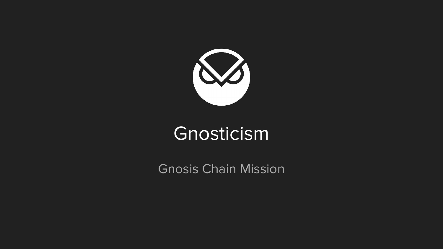

## Gnosticism

Gnosis Chain Mission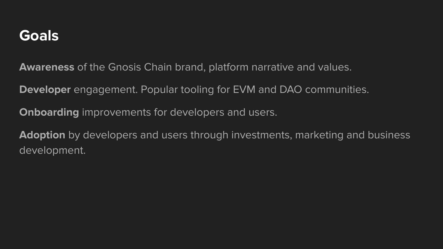#### **Goals**

**Awareness** of the Gnosis Chain brand, platform narrative and values.

**Developer** engagement. Popular tooling for EVM and DAO communities.

**Onboarding** improvements for developers and users.

**Adoption** by developers and users through investments, marketing and business development.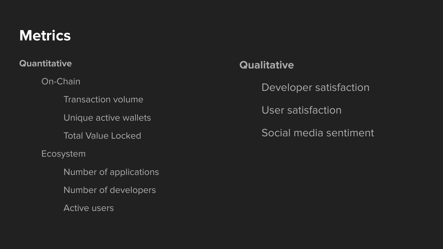#### **Metrics**

**Quantitative**

On-Chain

Transaction volume

Unique active wallets

Total Value Locked

Ecosystem

Number of applications

Number of developers

Active users

#### **Qualitative**

Developer satisfaction

User satisfaction

Social media sentiment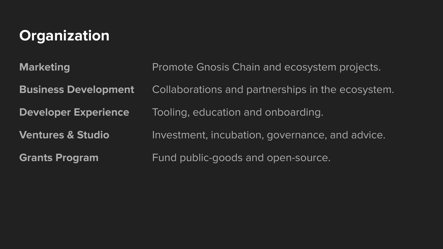### **Organization**

| <b>Marketing</b>             | Promote Gnosis Chain and ecosystem projects.      |
|------------------------------|---------------------------------------------------|
| <b>Business Development</b>  | Collaborations and partnerships in the ecosystem. |
| <b>Developer Experience</b>  | Tooling, education and onboarding.                |
| <b>Ventures &amp; Studio</b> | Investment, incubation, governance, and advice.   |
| <b>Grants Program</b>        | Fund public-goods and open-source.                |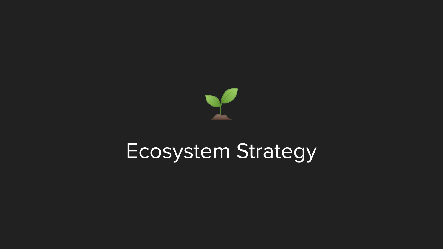

# Ecosystem Strategy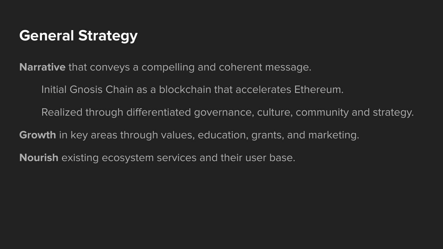#### **General Strategy**

**Narrative** that conveys a compelling and coherent message.

Initial Gnosis Chain as a blockchain that accelerates Ethereum.

Realized through differentiated governance, culture, community and strategy.

**Growth** in key areas through values, education, grants, and marketing.

**Nourish** existing ecosystem services and their user base.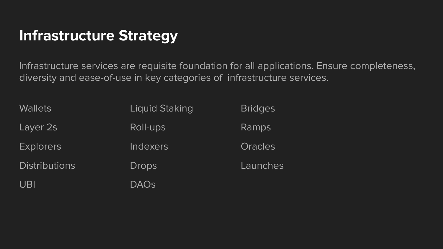#### **Infrastructure Strategy**

Infrastructure services are requisite foundation for all applications. Ensure completeness, diversity and ease-of-use in key categories of infrastructure services.

| <b>Wallets</b>       | Liquid Staking | <b>Bridges</b> |
|----------------------|----------------|----------------|
| Layer 2s             | Roll-ups       | Ramps          |
| <b>Explorers</b>     | Indexers       | <b>Oracles</b> |
| <b>Distributions</b> | <b>Drops</b>   | Launches       |
| <b>UBI</b>           | <b>DAOs</b>    |                |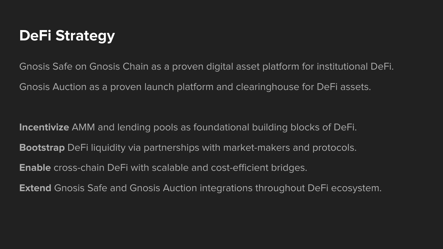#### **DeFi Strategy**

Gnosis Safe on Gnosis Chain as a proven digital asset platform for institutional DeFi. Gnosis Auction as a proven launch platform and clearinghouse for DeFi assets.

**Incentivize** AMM and lending pools as foundational building blocks of DeFi. **Bootstrap** DeFi liquidity via partnerships with market-makers and protocols. **Enable** cross-chain DeFi with scalable and cost-efficient bridges.

**Extend** Gnosis Safe and Gnosis Auction integrations throughout DeFi ecosystem.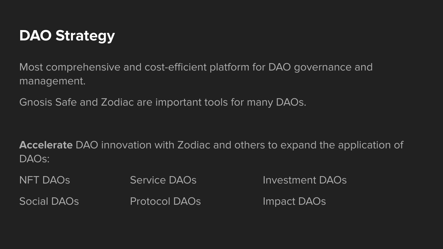#### **DAO Strategy**

Most comprehensive and cost-efficient platform for DAO governance and management.

Gnosis Safe and Zodiac are important tools for many DAOs.

**Accelerate** DAO innovation with Zodiac and others to expand the application of DAOs:

NFT DAOs Service DAOs Investment DAOs Social DAOs Protocol DAOs Impact DAOs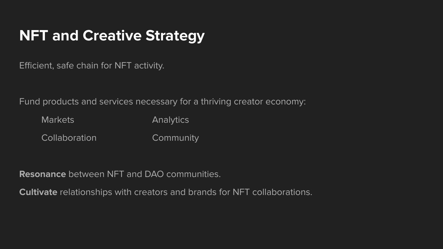#### **NFT and Creative Strategy**

Efficient, safe chain for NFT activity.

Fund products and services necessary for a thriving creator economy:

Markets **Analytics** Collaboration Community

**Resonance** between NFT and DAO communities.

**Cultivate** relationships with creators and brands for NFT collaborations.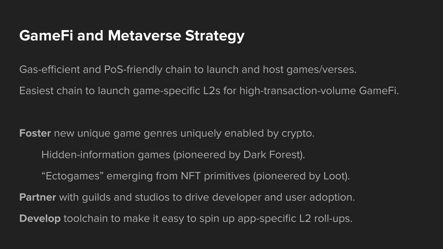#### **GameFi and Metaverse Strategy**

Gas-efficient and PoS-friendly chain to launch and host games/verses.

Easiest chain to launch game-specific L2s for high-transaction-volume GameFi.

**Foster** new unique game genres uniquely enabled by crypto.

Hidden-information games (pioneered by Dark Forest).

"Ectogames" emerging from NFT primitives (pioneered by Loot).

**Partner** with guilds and studios to drive developer and user adoption.

**Develop** toolchain to make it easy to spin up app-specific L2 roll-ups.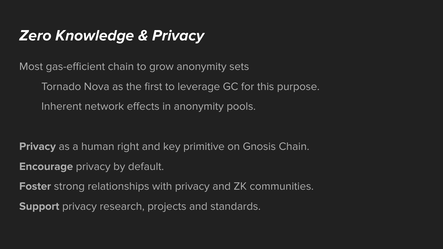#### **Zero Knowledge & Privacy**

Most gas-efficient chain to grow anonymity sets

Tornado Nova as the first to leverage GC for this purpose. Inherent network effects in anonymity pools.

**Privacy** as a human right and key primitive on Gnosis Chain.

**Encourage** privacy by default.

**Foster** strong relationships with privacy and ZK communities.

**Support** privacy research, projects and standards.